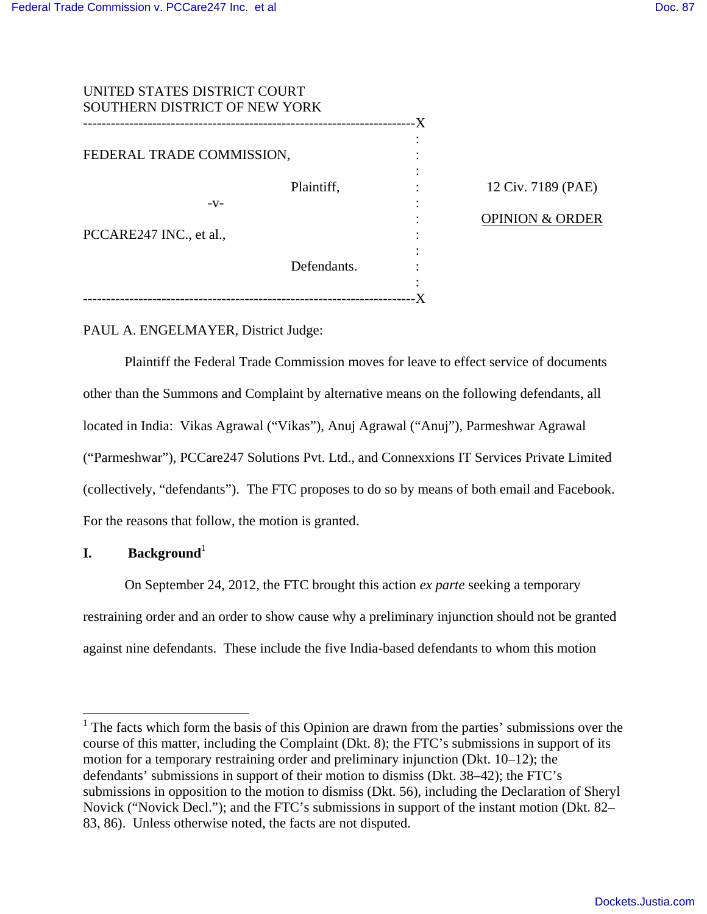| UNITED STATES DISTRICT COURT  |             |    |
|-------------------------------|-------------|----|
| SOUTHERN DISTRICT OF NEW YORK |             |    |
|                               |             | .X |
|                               |             |    |
| FEDERAL TRADE COMMISSION,     |             |    |
|                               |             |    |
|                               | Plaintiff,  |    |
| -V-                           |             |    |
|                               |             |    |
| PCCARE247 INC., et al.,       |             |    |
|                               |             |    |
|                               | Defendants. |    |
|                               |             |    |
|                               |             |    |

12 Civ. 7189 (PAE)

## OPINION & ORDER

PAUL A. ENGELMAYER, District Judge:

 Plaintiff the Federal Trade Commission moves for leave to effect service of documents other than the Summons and Complaint by alternative means on the following defendants, all located in India: Vikas Agrawal ("Vikas"), Anuj Agrawal ("Anuj"), Parmeshwar Agrawal ("Parmeshwar"), PCCare247 Solutions Pvt. Ltd., and Connexxions IT Services Private Limited (collectively, "defendants"). The FTC proposes to do so by means of both email and Facebook. For the reasons that follow, the motion is granted.

# **I. Background**<sup>1</sup>

<u>.</u>

On September 24, 2012, the FTC brought this action *ex parte* seeking a temporary restraining order and an order to show cause why a preliminary injunction should not be granted against nine defendants. These include the five India-based defendants to whom this motion

 $<sup>1</sup>$  The facts which form the basis of this Opinion are drawn from the parties' submissions over the</sup> course of this matter, including the Complaint (Dkt. 8); the FTC's submissions in support of its motion for a temporary restraining order and preliminary injunction (Dkt. 10–12); the defendants' submissions in support of their motion to dismiss (Dkt. 38–42); the FTC's submissions in opposition to the motion to dismiss (Dkt. 56), including the Declaration of Sheryl Novick ("Novick Decl."); and the FTC's submissions in support of the instant motion (Dkt. 82– 83, 86). Unless otherwise noted, the facts are not disputed.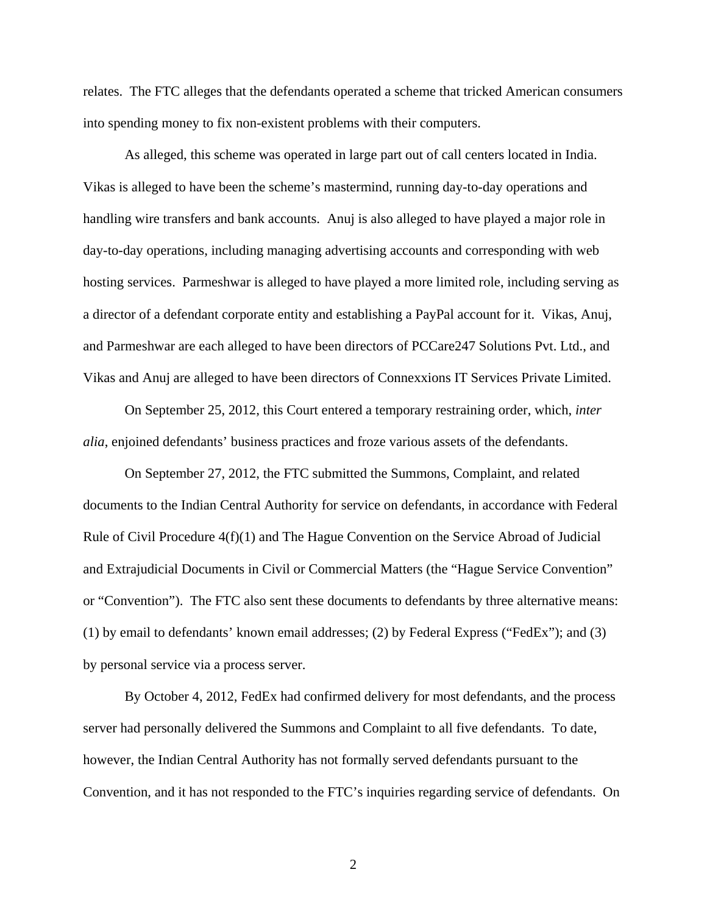relates. The FTC alleges that the defendants operated a scheme that tricked American consumers into spending money to fix non-existent problems with their computers.

As alleged, this scheme was operated in large part out of call centers located in India. Vikas is alleged to have been the scheme's mastermind, running day-to-day operations and handling wire transfers and bank accounts. Anuj is also alleged to have played a major role in day-to-day operations, including managing advertising accounts and corresponding with web hosting services. Parmeshwar is alleged to have played a more limited role, including serving as a director of a defendant corporate entity and establishing a PayPal account for it. Vikas, Anuj, and Parmeshwar are each alleged to have been directors of PCCare247 Solutions Pvt. Ltd., and Vikas and Anuj are alleged to have been directors of Connexxions IT Services Private Limited.

On September 25, 2012, this Court entered a temporary restraining order, which, *inter alia*, enjoined defendants' business practices and froze various assets of the defendants.

On September 27, 2012, the FTC submitted the Summons, Complaint, and related documents to the Indian Central Authority for service on defendants, in accordance with Federal Rule of Civil Procedure 4(f)(1) and The Hague Convention on the Service Abroad of Judicial and Extrajudicial Documents in Civil or Commercial Matters (the "Hague Service Convention" or "Convention"). The FTC also sent these documents to defendants by three alternative means: (1) by email to defendants' known email addresses; (2) by Federal Express ("FedEx"); and (3) by personal service via a process server.

By October 4, 2012, FedEx had confirmed delivery for most defendants, and the process server had personally delivered the Summons and Complaint to all five defendants. To date, however, the Indian Central Authority has not formally served defendants pursuant to the Convention, and it has not responded to the FTC's inquiries regarding service of defendants. On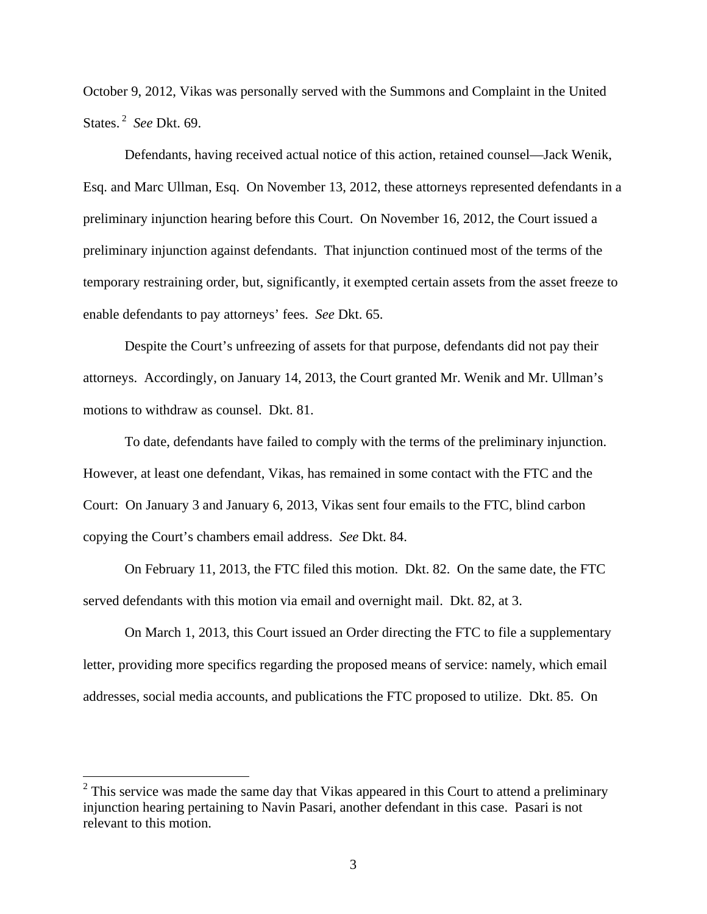October 9, 2012, Vikas was personally served with the Summons and Complaint in the United States.<sup>2</sup> *See* Dkt. 69.

Defendants, having received actual notice of this action, retained counsel—Jack Wenik, Esq. and Marc Ullman, Esq. On November 13, 2012, these attorneys represented defendants in a preliminary injunction hearing before this Court. On November 16, 2012, the Court issued a preliminary injunction against defendants. That injunction continued most of the terms of the temporary restraining order, but, significantly, it exempted certain assets from the asset freeze to enable defendants to pay attorneys' fees. *See* Dkt. 65.

Despite the Court's unfreezing of assets for that purpose, defendants did not pay their attorneys. Accordingly, on January 14, 2013, the Court granted Mr. Wenik and Mr. Ullman's motions to withdraw as counsel. Dkt. 81.

To date, defendants have failed to comply with the terms of the preliminary injunction. However, at least one defendant, Vikas, has remained in some contact with the FTC and the Court: On January 3 and January 6, 2013, Vikas sent four emails to the FTC, blind carbon copying the Court's chambers email address. *See* Dkt. 84.

On February 11, 2013, the FTC filed this motion. Dkt. 82. On the same date, the FTC served defendants with this motion via email and overnight mail. Dkt. 82, at 3.

On March 1, 2013, this Court issued an Order directing the FTC to file a supplementary letter, providing more specifics regarding the proposed means of service: namely, which email addresses, social media accounts, and publications the FTC proposed to utilize. Dkt. 85. On

 $\overline{a}$ 

 $2$  This service was made the same day that Vikas appeared in this Court to attend a preliminary injunction hearing pertaining to Navin Pasari, another defendant in this case. Pasari is not relevant to this motion.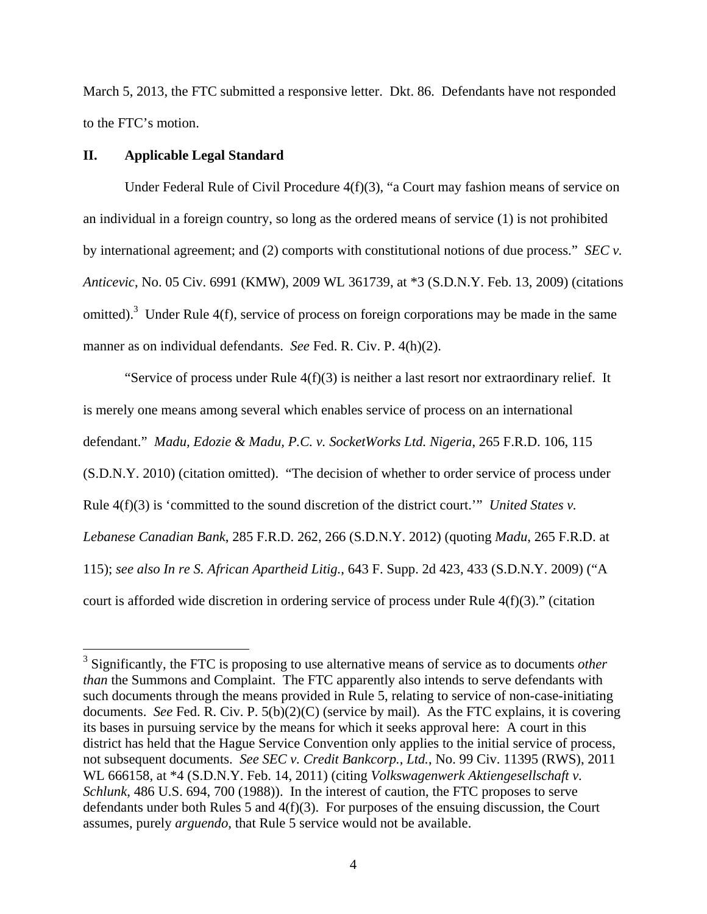March 5, 2013, the FTC submitted a responsive letter. Dkt. 86. Defendants have not responded to the FTC's motion.

# **II. Applicable Legal Standard**

Under Federal Rule of Civil Procedure 4(f)(3), "a Court may fashion means of service on an individual in a foreign country, so long as the ordered means of service (1) is not prohibited by international agreement; and (2) comports with constitutional notions of due process." *SEC v. Anticevic*, No. 05 Civ. 6991 (KMW), 2009 WL 361739, at \*3 (S.D.N.Y. Feb. 13, 2009) (citations omitted).<sup>3</sup> Under Rule 4(f), service of process on foreign corporations may be made in the same manner as on individual defendants. *See* Fed. R. Civ. P. 4(h)(2).

"Service of process under Rule  $4(f)(3)$  is neither a last resort nor extraordinary relief. It is merely one means among several which enables service of process on an international defendant." *Madu, Edozie & Madu, P.C. v. SocketWorks Ltd. Nigeria*, 265 F.R.D. 106, 115 (S.D.N.Y. 2010) (citation omitted). "The decision of whether to order service of process under Rule 4(f)(3) is 'committed to the sound discretion of the district court.'" *United States v. Lebanese Canadian Bank*, 285 F.R.D. 262, 266 (S.D.N.Y. 2012) (quoting *Madu*, 265 F.R.D. at 115); *see also In re S. African Apartheid Litig.*, 643 F. Supp. 2d 423, 433 (S.D.N.Y. 2009) ("A court is afforded wide discretion in ordering service of process under Rule 4(f)(3)." (citation

 3 Significantly, the FTC is proposing to use alternative means of service as to documents *other than* the Summons and Complaint. The FTC apparently also intends to serve defendants with such documents through the means provided in Rule 5, relating to service of non-case-initiating documents. *See* Fed. R. Civ. P. 5(b)(2)(C) (service by mail). As the FTC explains, it is covering its bases in pursuing service by the means for which it seeks approval here: A court in this district has held that the Hague Service Convention only applies to the initial service of process, not subsequent documents. *See SEC v. Credit Bankcorp., Ltd.*, No. 99 Civ. 11395 (RWS), 2011 WL 666158, at \*4 (S.D.N.Y. Feb. 14, 2011) (citing *Volkswagenwerk Aktiengesellschaft v. Schlunk*, 486 U.S. 694, 700 (1988)). In the interest of caution, the FTC proposes to serve defendants under both Rules 5 and 4(f)(3). For purposes of the ensuing discussion, the Court assumes, purely *arguendo*, that Rule 5 service would not be available.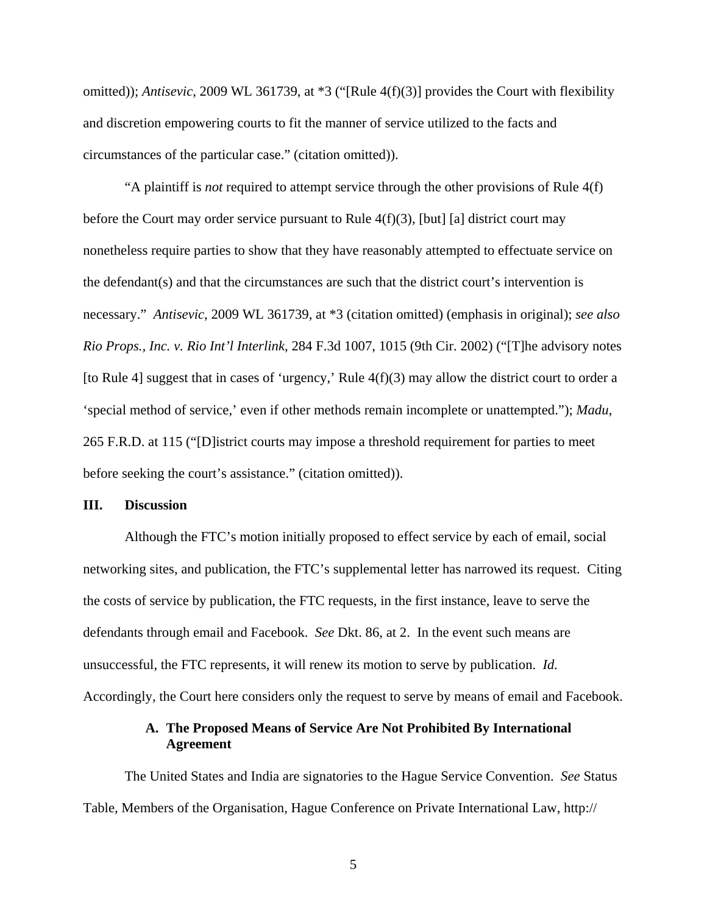omitted)); *Antisevic*, 2009 WL 361739, at \*3 ("[Rule 4(f)(3)] provides the Court with flexibility and discretion empowering courts to fit the manner of service utilized to the facts and circumstances of the particular case." (citation omitted)).

"A plaintiff is *not* required to attempt service through the other provisions of Rule 4(f) before the Court may order service pursuant to Rule  $4(f)(3)$ , [but] [a] district court may nonetheless require parties to show that they have reasonably attempted to effectuate service on the defendant(s) and that the circumstances are such that the district court's intervention is necessary." *Antisevic*, 2009 WL 361739, at \*3 (citation omitted) (emphasis in original); *see also Rio Props., Inc. v. Rio Int'l Interlink*, 284 F.3d 1007, 1015 (9th Cir. 2002) ("[T]he advisory notes [to Rule 4] suggest that in cases of 'urgency,' Rule 4(f)(3) may allow the district court to order a 'special method of service,' even if other methods remain incomplete or unattempted."); *Madu*, 265 F.R.D. at 115 ("[D]istrict courts may impose a threshold requirement for parties to meet before seeking the court's assistance." (citation omitted)).

#### **III. Discussion**

Although the FTC's motion initially proposed to effect service by each of email, social networking sites, and publication, the FTC's supplemental letter has narrowed its request. Citing the costs of service by publication, the FTC requests, in the first instance, leave to serve the defendants through email and Facebook. *See* Dkt. 86, at 2. In the event such means are unsuccessful, the FTC represents, it will renew its motion to serve by publication. *Id.* Accordingly, the Court here considers only the request to serve by means of email and Facebook.

# **A. The Proposed Means of Service Are Not Prohibited By International Agreement**

The United States and India are signatories to the Hague Service Convention. *See* Status Table, Members of the Organisation, Hague Conference on Private International Law, http://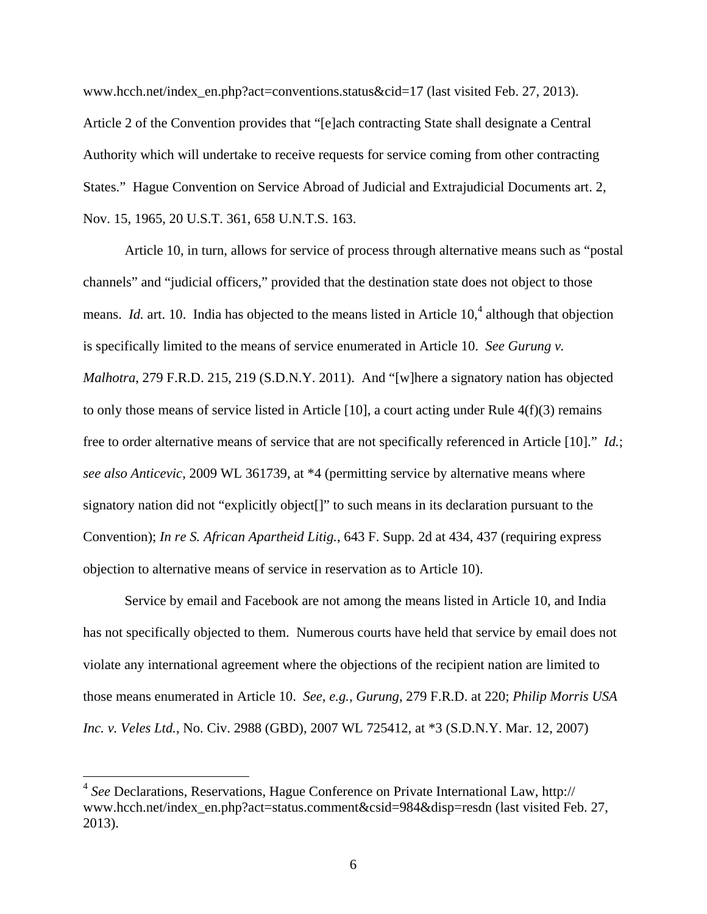www.hcch.net/index\_en.php?act=conventions.status&cid=17 (last visited Feb. 27, 2013). Article 2 of the Convention provides that "[e]ach contracting State shall designate a Central Authority which will undertake to receive requests for service coming from other contracting States." Hague Convention on Service Abroad of Judicial and Extrajudicial Documents art. 2, Nov. 15, 1965, 20 U.S.T. 361, 658 U.N.T.S. 163.

Article 10, in turn, allows for service of process through alternative means such as "postal channels" and "judicial officers," provided that the destination state does not object to those means. *Id.* art. 10. India has objected to the means listed in Article 10,<sup>4</sup> although that objection is specifically limited to the means of service enumerated in Article 10. *See Gurung v. Malhotra*, 279 F.R.D. 215, 219 (S.D.N.Y. 2011). And "[w]here a signatory nation has objected to only those means of service listed in Article [10], a court acting under Rule 4(f)(3) remains free to order alternative means of service that are not specifically referenced in Article [10]." *Id.*; *see also Anticevic*, 2009 WL 361739, at \*4 (permitting service by alternative means where signatory nation did not "explicitly object[]" to such means in its declaration pursuant to the Convention); *In re S. African Apartheid Litig.*, 643 F. Supp. 2d at 434, 437 (requiring express objection to alternative means of service in reservation as to Article 10).

Service by email and Facebook are not among the means listed in Article 10, and India has not specifically objected to them. Numerous courts have held that service by email does not violate any international agreement where the objections of the recipient nation are limited to those means enumerated in Article 10. *See, e.g.*, *Gurung*, 279 F.R.D. at 220; *Philip Morris USA Inc. v. Veles Ltd.*, No. Civ. 2988 (GBD), 2007 WL 725412, at \*3 (S.D.N.Y. Mar. 12, 2007)

 $\overline{a}$ 

<sup>4</sup> *See* Declarations, Reservations, Hague Conference on Private International Law, http:// www.hcch.net/index\_en.php?act=status.comment&csid=984&disp=resdn (last visited Feb. 27, 2013).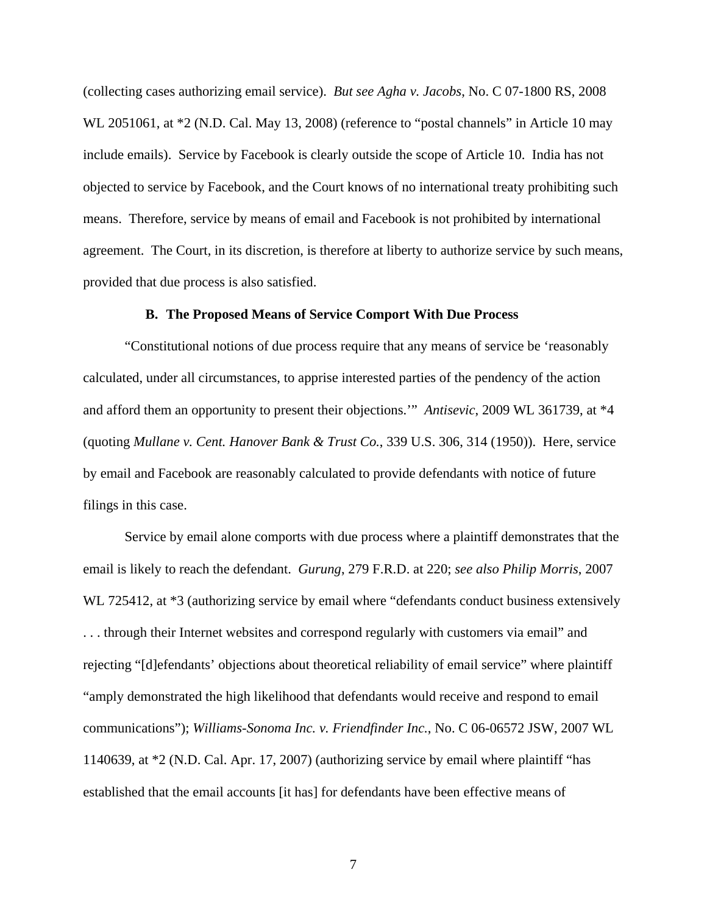(collecting cases authorizing email service). *But see Agha v. Jacobs*, No. C 07-1800 RS, 2008 WL 2051061, at  $*2$  (N.D. Cal. May 13, 2008) (reference to "postal channels" in Article 10 may include emails). Service by Facebook is clearly outside the scope of Article 10. India has not objected to service by Facebook, and the Court knows of no international treaty prohibiting such means. Therefore, service by means of email and Facebook is not prohibited by international agreement. The Court, in its discretion, is therefore at liberty to authorize service by such means, provided that due process is also satisfied.

## **B. The Proposed Means of Service Comport With Due Process**

"Constitutional notions of due process require that any means of service be 'reasonably calculated, under all circumstances, to apprise interested parties of the pendency of the action and afford them an opportunity to present their objections.'" *Antisevic*, 2009 WL 361739, at \*4 (quoting *Mullane v. Cent. Hanover Bank & Trust Co.*, 339 U.S. 306, 314 (1950)). Here, service by email and Facebook are reasonably calculated to provide defendants with notice of future filings in this case.

 Service by email alone comports with due process where a plaintiff demonstrates that the email is likely to reach the defendant. *Gurung*, 279 F.R.D. at 220; *see also Philip Morris*, 2007 WL 725412, at  $*3$  (authorizing service by email where "defendants conduct business extensively . . . through their Internet websites and correspond regularly with customers via email" and rejecting "[d]efendants' objections about theoretical reliability of email service" where plaintiff "amply demonstrated the high likelihood that defendants would receive and respond to email communications"); *Williams-Sonoma Inc. v. Friendfinder Inc.*, No. C 06-06572 JSW, 2007 WL 1140639, at \*2 (N.D. Cal. Apr. 17, 2007) (authorizing service by email where plaintiff "has established that the email accounts [it has] for defendants have been effective means of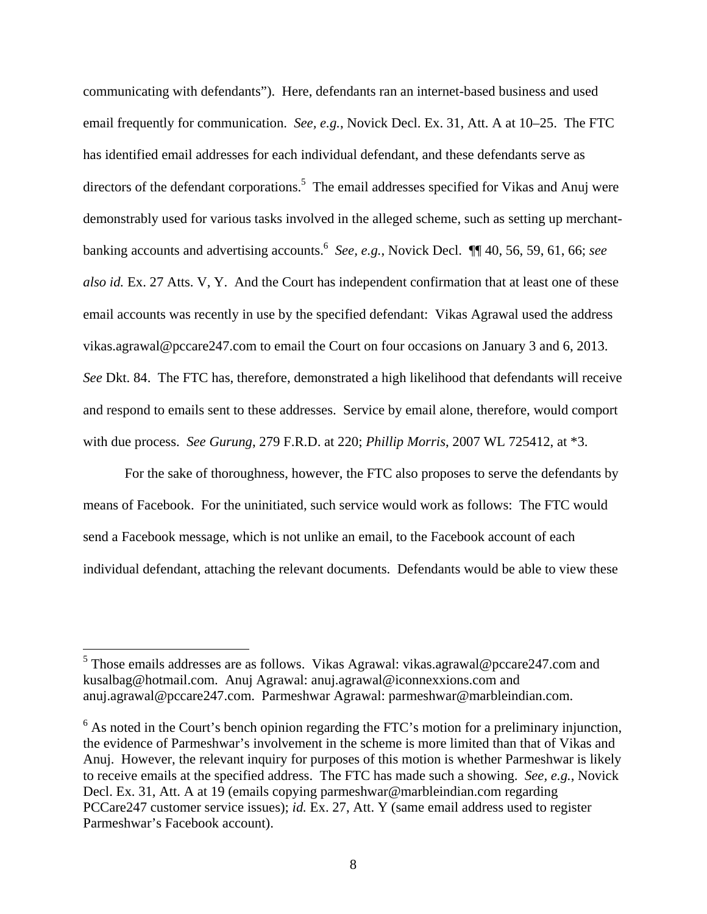communicating with defendants"). Here, defendants ran an internet-based business and used email frequently for communication. *See, e.g.*, Novick Decl. Ex. 31, Att. A at 10–25. The FTC has identified email addresses for each individual defendant, and these defendants serve as directors of the defendant corporations.<sup>5</sup> The email addresses specified for Vikas and Anuj were demonstrably used for various tasks involved in the alleged scheme, such as setting up merchantbanking accounts and advertising accounts.<sup>6</sup> *See, e.g.*, Novick Decl. ¶¶ 40, 56, 59, 61, 66; *see also id.* Ex. 27 Atts. V, Y. And the Court has independent confirmation that at least one of these email accounts was recently in use by the specified defendant: Vikas Agrawal used the address vikas.agrawal@pccare247.com to email the Court on four occasions on January 3 and 6, 2013. *See* Dkt. 84. The FTC has, therefore, demonstrated a high likelihood that defendants will receive and respond to emails sent to these addresses. Service by email alone, therefore, would comport with due process. *See Gurung*, 279 F.R.D. at 220; *Phillip Morris*, 2007 WL 725412, at \*3.

 For the sake of thoroughness, however, the FTC also proposes to serve the defendants by means of Facebook. For the uninitiated, such service would work as follows: The FTC would send a Facebook message, which is not unlike an email, to the Facebook account of each individual defendant, attaching the relevant documents. Defendants would be able to view these

 5 Those emails addresses are as follows. Vikas Agrawal: vikas.agrawal@pccare247.com and kusalbag@hotmail.com. Anuj Agrawal: anuj.agrawal@iconnexxions.com and anuj.agrawal@pccare247.com. Parmeshwar Agrawal: parmeshwar@marbleindian.com.

 $6$  As noted in the Court's bench opinion regarding the FTC's motion for a preliminary injunction, the evidence of Parmeshwar's involvement in the scheme is more limited than that of Vikas and Anuj. However, the relevant inquiry for purposes of this motion is whether Parmeshwar is likely to receive emails at the specified address. The FTC has made such a showing. *See, e.g.*, Novick Decl. Ex. 31, Att. A at 19 (emails copying parmeshwar@marbleindian.com regarding PCCare247 customer service issues); *id.* Ex. 27, Att. Y (same email address used to register Parmeshwar's Facebook account).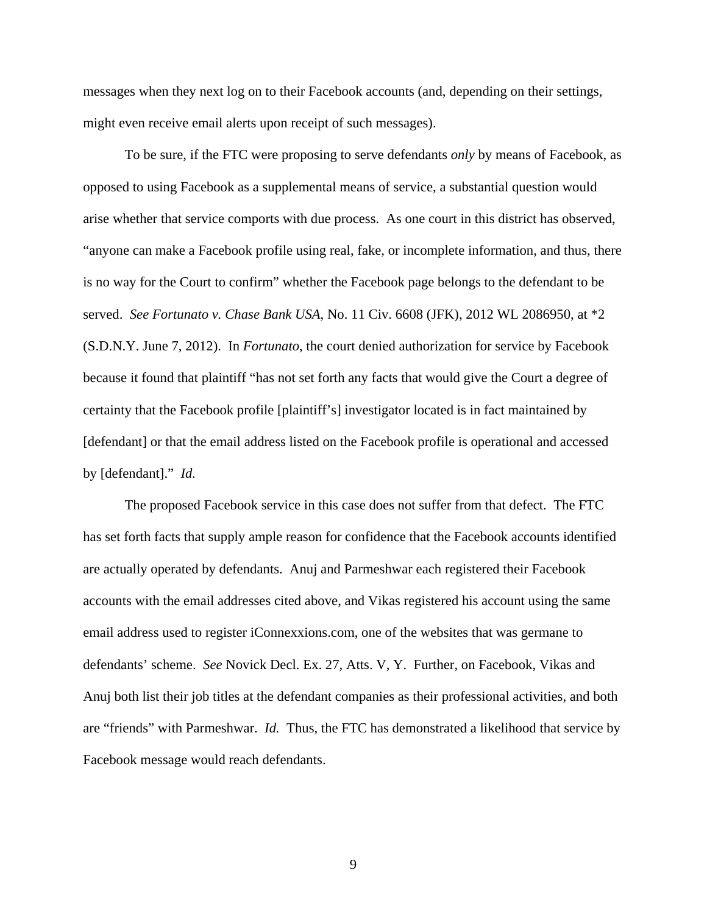messages when they next log on to their Facebook accounts (and, depending on their settings, might even receive email alerts upon receipt of such messages).

To be sure, if the FTC were proposing to serve defendants *only* by means of Facebook, as opposed to using Facebook as a supplemental means of service, a substantial question would arise whether that service comports with due process. As one court in this district has observed, "anyone can make a Facebook profile using real, fake, or incomplete information, and thus, there is no way for the Court to confirm" whether the Facebook page belongs to the defendant to be served. *See Fortunato v. Chase Bank USA*, No. 11 Civ. 6608 (JFK), 2012 WL 2086950, at \*2 (S.D.N.Y. June 7, 2012). In *Fortunato*, the court denied authorization for service by Facebook because it found that plaintiff "has not set forth any facts that would give the Court a degree of certainty that the Facebook profile [plaintiff's] investigator located is in fact maintained by [defendant] or that the email address listed on the Facebook profile is operational and accessed by [defendant]." *Id.*

The proposed Facebook service in this case does not suffer from that defect. The FTC has set forth facts that supply ample reason for confidence that the Facebook accounts identified are actually operated by defendants. Anuj and Parmeshwar each registered their Facebook accounts with the email addresses cited above, and Vikas registered his account using the same email address used to register iConnexxions.com, one of the websites that was germane to defendants' scheme. *See* Novick Decl. Ex. 27, Atts. V, Y. Further, on Facebook, Vikas and Anuj both list their job titles at the defendant companies as their professional activities, and both are "friends" with Parmeshwar. *Id.* Thus, the FTC has demonstrated a likelihood that service by Facebook message would reach defendants.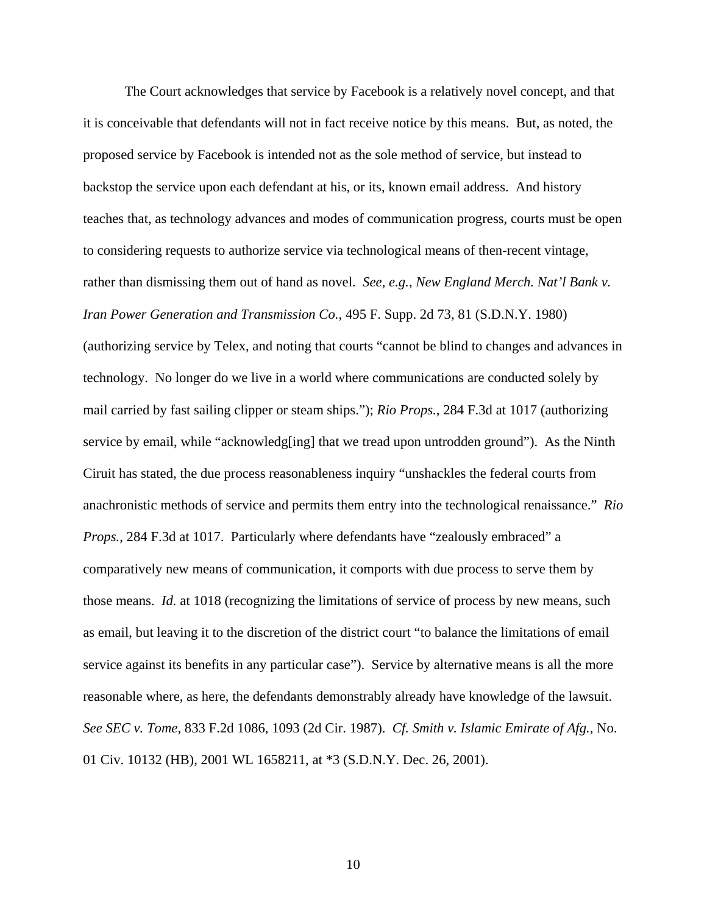The Court acknowledges that service by Facebook is a relatively novel concept, and that it is conceivable that defendants will not in fact receive notice by this means. But, as noted, the proposed service by Facebook is intended not as the sole method of service, but instead to backstop the service upon each defendant at his, or its, known email address. And history teaches that, as technology advances and modes of communication progress, courts must be open to considering requests to authorize service via technological means of then-recent vintage, rather than dismissing them out of hand as novel. *See, e.g.*, *New England Merch. Nat'l Bank v. Iran Power Generation and Transmission Co.*, 495 F. Supp. 2d 73, 81 (S.D.N.Y. 1980) (authorizing service by Telex, and noting that courts "cannot be blind to changes and advances in technology. No longer do we live in a world where communications are conducted solely by mail carried by fast sailing clipper or steam ships."); *Rio Props.*, 284 F.3d at 1017 (authorizing service by email, while "acknowledg[ing] that we tread upon untrodden ground"). As the Ninth Ciruit has stated, the due process reasonableness inquiry "unshackles the federal courts from anachronistic methods of service and permits them entry into the technological renaissance." *Rio Props.*, 284 F.3d at 1017. Particularly where defendants have "zealously embraced" a comparatively new means of communication, it comports with due process to serve them by those means. *Id.* at 1018 (recognizing the limitations of service of process by new means, such as email, but leaving it to the discretion of the district court "to balance the limitations of email service against its benefits in any particular case"). Service by alternative means is all the more reasonable where, as here, the defendants demonstrably already have knowledge of the lawsuit. *See SEC v. Tome*, 833 F.2d 1086, 1093 (2d Cir. 1987). *Cf. Smith v. Islamic Emirate of Afg.*, No. 01 Civ. 10132 (HB), 2001 WL 1658211, at \*3 (S.D.N.Y. Dec. 26, 2001).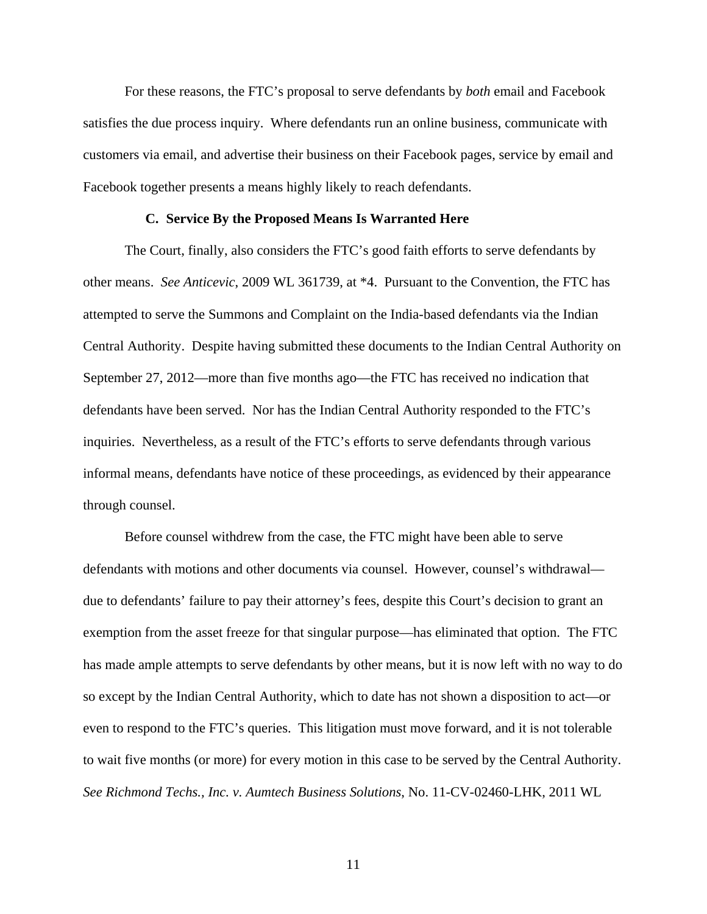For these reasons, the FTC's proposal to serve defendants by *both* email and Facebook satisfies the due process inquiry. Where defendants run an online business, communicate with customers via email, and advertise their business on their Facebook pages, service by email and Facebook together presents a means highly likely to reach defendants.

#### **C. Service By the Proposed Means Is Warranted Here**

The Court, finally, also considers the FTC's good faith efforts to serve defendants by other means. *See Anticevic*, 2009 WL 361739, at \*4. Pursuant to the Convention, the FTC has attempted to serve the Summons and Complaint on the India-based defendants via the Indian Central Authority. Despite having submitted these documents to the Indian Central Authority on September 27, 2012—more than five months ago—the FTC has received no indication that defendants have been served. Nor has the Indian Central Authority responded to the FTC's inquiries. Nevertheless, as a result of the FTC's efforts to serve defendants through various informal means, defendants have notice of these proceedings, as evidenced by their appearance through counsel.

Before counsel withdrew from the case, the FTC might have been able to serve defendants with motions and other documents via counsel. However, counsel's withdrawal due to defendants' failure to pay their attorney's fees, despite this Court's decision to grant an exemption from the asset freeze for that singular purpose—has eliminated that option. The FTC has made ample attempts to serve defendants by other means, but it is now left with no way to do so except by the Indian Central Authority, which to date has not shown a disposition to act—or even to respond to the FTC's queries. This litigation must move forward, and it is not tolerable to wait five months (or more) for every motion in this case to be served by the Central Authority. *See Richmond Techs., Inc. v. Aumtech Business Solutions*, No. 11-CV-02460-LHK, 2011 WL